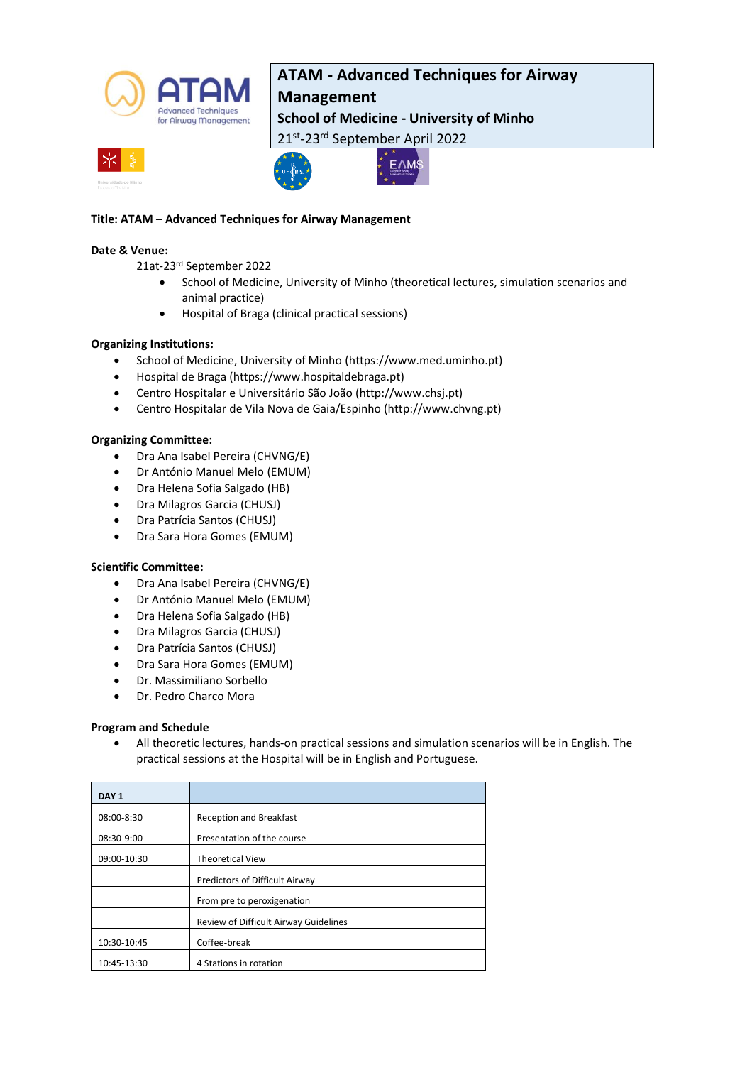

## **ATAM - Advanced Techniques for Airway**

## **Management**

**School of Medicine - University of Minho**

21st-23rd September April 2022





### **Title: ATAM – Advanced Techniques for Airway Management**

### **Date & Venue:**

21at-23rd September 2022

- School of Medicine, University of Minho (theoretical lectures, simulation scenarios and animal practice)
- Hospital of Braga (clinical practical sessions)

### **Organizing Institutions:**

- School of Medicine, University of Minho [\(https://www.med.uminho.pt\)](https://www.med.uminho.pt/)
- Hospital de Braga (https://www.hospitaldebraga.pt)
- Centro Hospitalar e Universitário São João (http://www.chsj.pt)
- Centro Hospitalar de Vila Nova de Gaia/Espinho (http://www.chvng.pt)

### **Organizing Committee:**

- Dra Ana Isabel Pereira (CHVNG/E)
- Dr António Manuel Melo (EMUM)
- Dra Helena Sofia Salgado (HB)
- Dra Milagros Garcia (CHUSJ)
- Dra Patrícia Santos (CHUSJ)
- Dra Sara Hora Gomes (EMUM)

### **Scientific Committee:**

- Dra Ana Isabel Pereira (CHVNG/E)
- Dr António Manuel Melo (EMUM)
- Dra Helena Sofia Salgado (HB)
- Dra Milagros Garcia (CHUSJ)
- Dra Patrícia Santos (CHUSJ)
- Dra Sara Hora Gomes (EMUM)
- Dr. Massimiliano Sorbello
- Dr. Pedro Charco Mora

### **Program and Schedule**

• All theoretic lectures, hands-on practical sessions and simulation scenarios will be in English. The practical sessions at the Hospital will be in English and Portuguese.

| DAY <sub>1</sub> |                                       |
|------------------|---------------------------------------|
| 08:00-8:30       | <b>Reception and Breakfast</b>        |
| 08:30-9:00       | Presentation of the course            |
| 09:00-10:30      | <b>Theoretical View</b>               |
|                  | Predictors of Difficult Airway        |
|                  | From pre to peroxigenation            |
|                  | Review of Difficult Airway Guidelines |
| 10:30-10:45      | Coffee-break                          |
| 10:45-13:30      | 4 Stations in rotation                |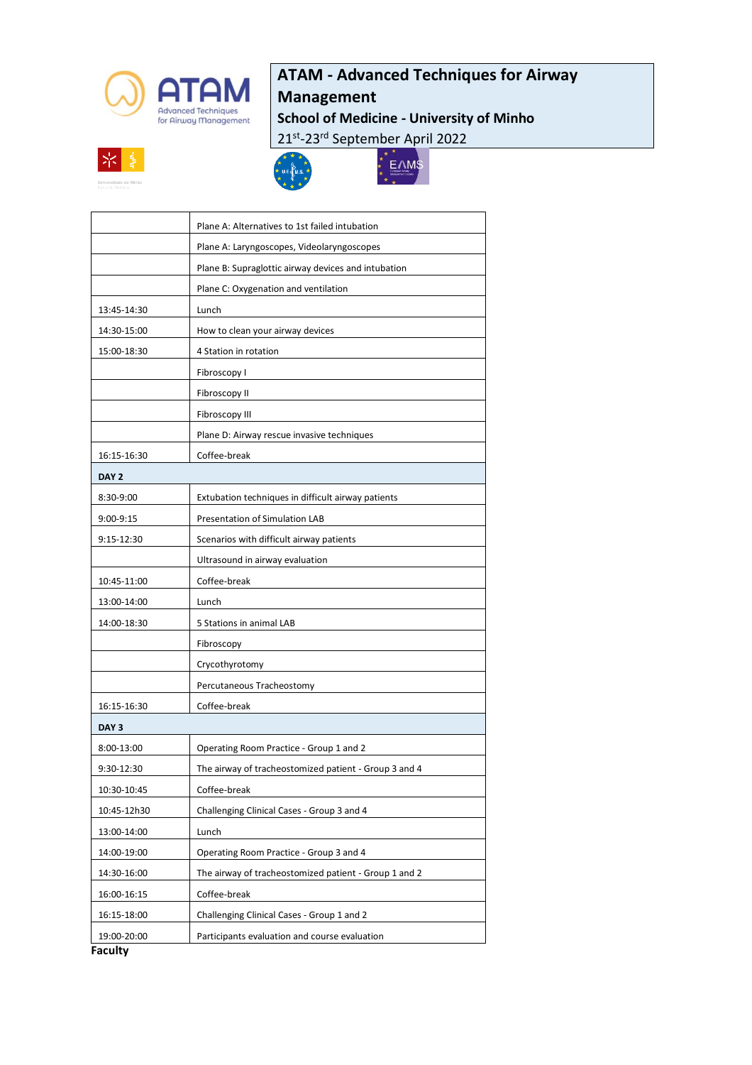

# **ATAM - Advanced Techniques for Airway**

## **Management**

**School of Medicine - University of Minho**

 $\sum_{k=1}^{N}$ 

21st-23rd September April 2022







| 13:45-14:30      | Lunch                                                 |
|------------------|-------------------------------------------------------|
| 14:30-15:00      | How to clean your airway devices                      |
| 15:00-18:30      | 4 Station in rotation                                 |
|                  | Fibroscopy I                                          |
|                  | Fibroscopy II                                         |
|                  | Fibroscopy III                                        |
|                  | Plane D: Airway rescue invasive techniques            |
| 16:15-16:30      | Coffee-break                                          |
| DAY <sub>2</sub> |                                                       |
| 8:30-9:00        | Extubation techniques in difficult airway patients    |
| 9:00-9:15        | Presentation of Simulation LAB                        |
| 9:15-12:30       | Scenarios with difficult airway patients              |
|                  | Ultrasound in airway evaluation                       |
| 10:45-11:00      | Coffee-break                                          |
| 13:00-14:00      | Lunch                                                 |
| 14:00-18:30      | 5 Stations in animal LAB                              |
|                  | Fibroscopy                                            |
|                  | Crycothyrotomy                                        |
|                  | Percutaneous Tracheostomy                             |
| 16:15-16:30      | Coffee-break                                          |
| DAY <sub>3</sub> |                                                       |
| 8:00-13:00       | Operating Room Practice - Group 1 and 2               |
| 9:30-12:30       | The airway of tracheostomized patient - Group 3 and 4 |
| 10:30-10:45      | Coffee-break                                          |
| 10:45-12h30      | Challenging Clinical Cases - Group 3 and 4            |
| 13:00-14:00      | Lunch                                                 |
| 14:00-19:00      | Operating Room Practice - Group 3 and 4               |
| 14:30-16:00      | The airway of tracheostomized patient - Group 1 and 2 |
| 16:00-16:15      | Coffee-break                                          |
| 16:15-18:00      | Challenging Clinical Cases - Group 1 and 2            |
| 19:00-20:00      | Participants evaluation and course evaluation         |
|                  |                                                       |

**Faculty**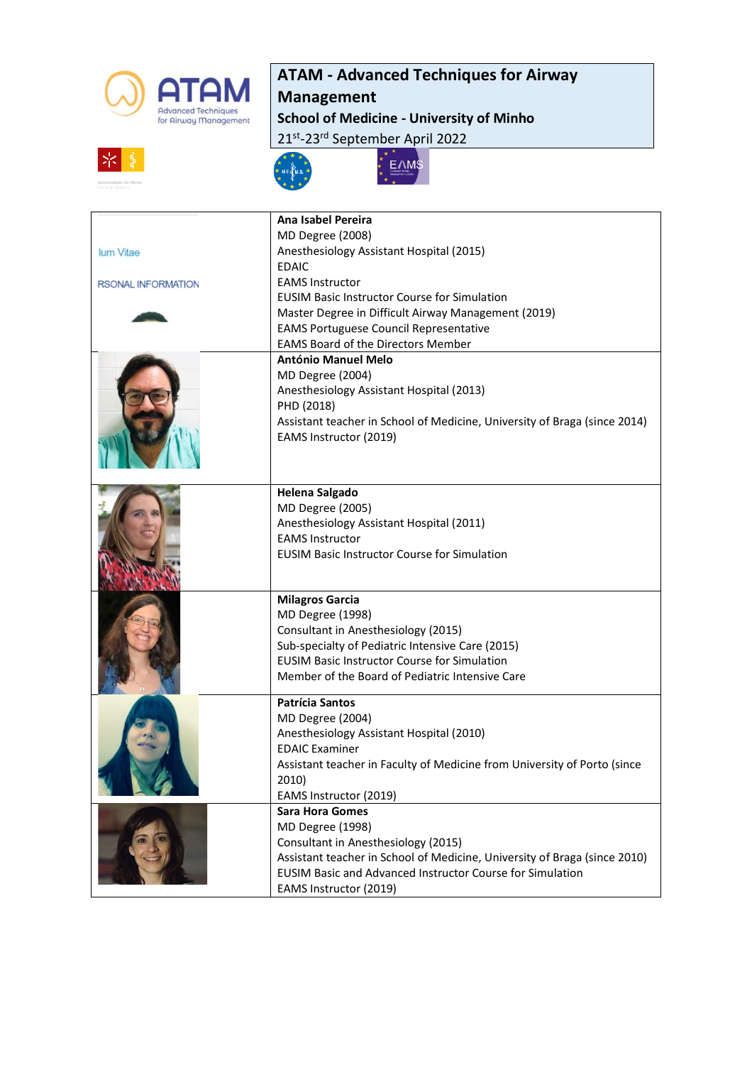